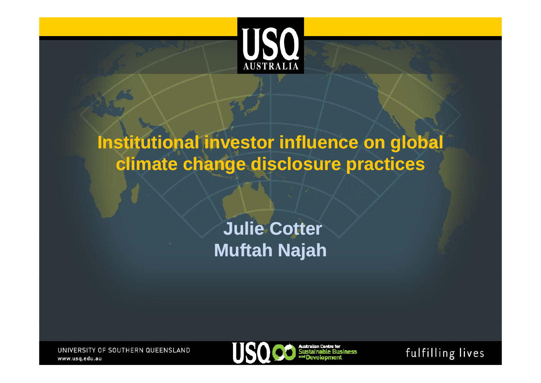

# **Institutional investor influence on global climate change disclosure practices**

# **Julie Cotter Cotter Muftah Najah**

UNIVERSITY OF SOUTHERN QUEENSLAND www.usq.edu.au



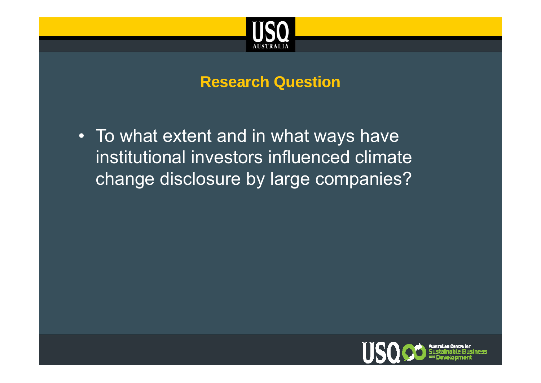

### **Research Question**

• To what extent and in what ways have institutional investors influenced climate change disclosure by large companies?

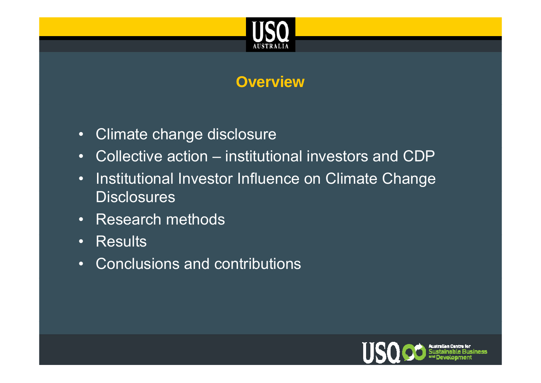

## **Overview**

- Climate change disclosure
- Collective action institutional investors and CDP
- •Institutional Investor Influence on Climate Change Disclosures
- Research methods
- Results
- Conclusions and contributions

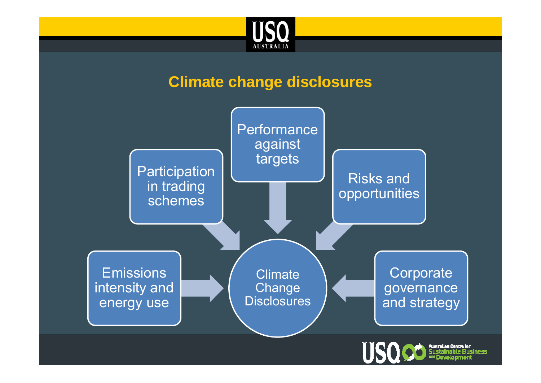

### **Climate change disclosures**

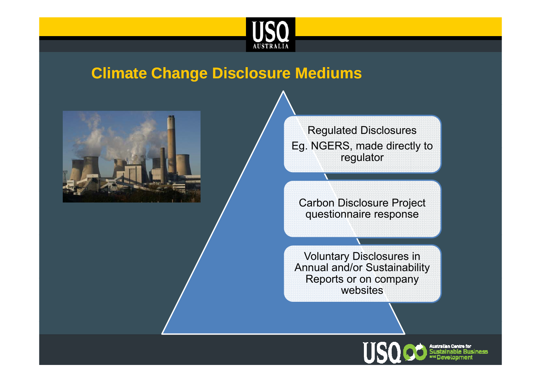

### **Climate Change Disclosure Mediums**



Regulated Disclosures Eg. NGERS, made directly to regulator

Carbon Disclosure Project questionnaire response

Voluntary Disclosures in Annual and/or Sustainability Reports or on company websites

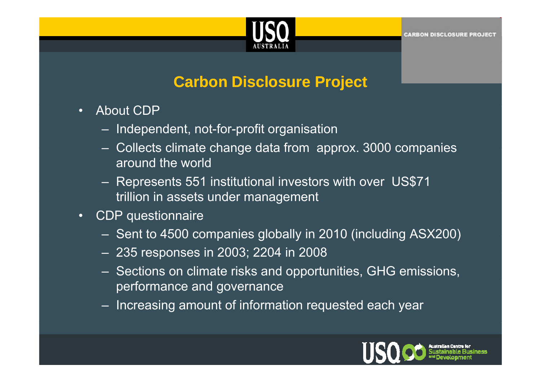

### **Carbon Disclosure Project**

- About CDP
	- Independent, not-for-profit organisation
	- $-$  Collects climate change data from  $\,$ approx. 3000 companies  $\,$ around the world
	- Represents 551 institutional investors with over US\$71 trillion in assets under management
- • CDP questionnaire
	- Sent to 4500 companies globally in 2010 (including ASX200) (including ASX200)
	- 235 responses in 2003; 2204 in 2008
	- Sections on climate risks and opportunities, GHG emissions, performance and governance
	- Increasing amount of information requested each year

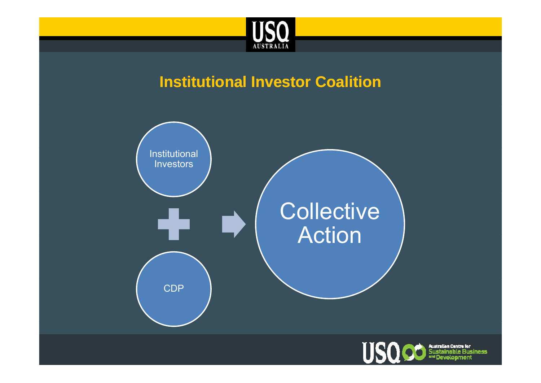

### **Institutional Investor Coalition**



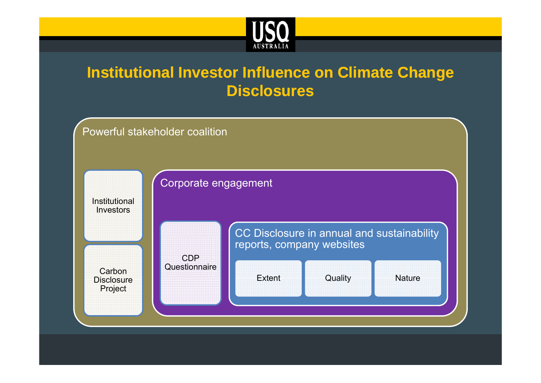

# **Institutional Investor Influence on Climate Change Disclosures**

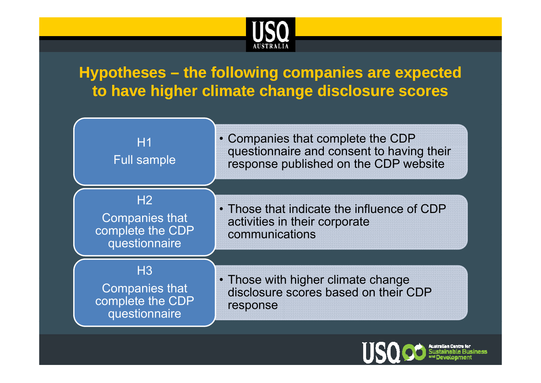

# **Hypotheses – the following companies are expected to have higher climate change disclosure scores**



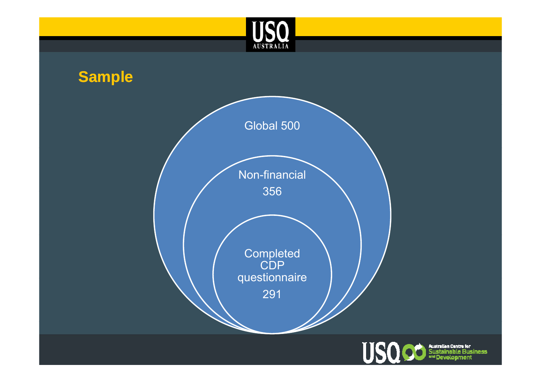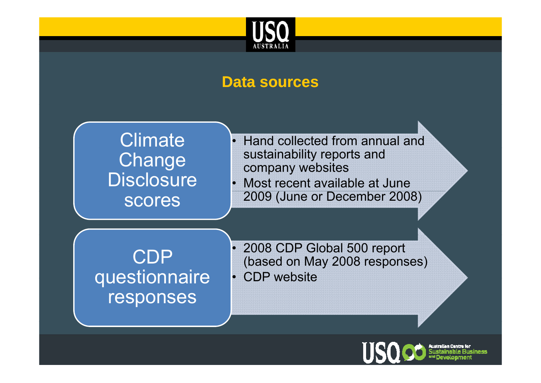

#### **Data sources**



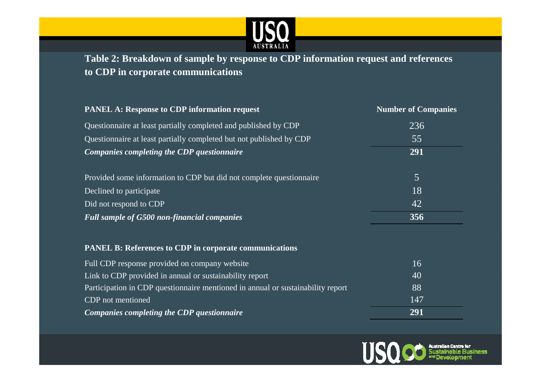

Table 2: Breakdown of sample by response to CDP information request and references **to CDP in corporate communications** 

| <b>PANEL A: Response to CDP information request</b>                             | <b>Number of Companies</b> |
|---------------------------------------------------------------------------------|----------------------------|
| Questionnaire at least partially completed and published by CDP                 | 236                        |
| Questionnaire at least partially completed but not published by CDP             | 55                         |
| Companies completing the CDP questionnaire                                      | 291                        |
| Provided some information to CDP but did not complete questionnaire             | 5                          |
| Declined to participate                                                         | 18                         |
| Did not respond to CDP                                                          | 42                         |
| <b>Full sample of G500 non-financial companies</b>                              | 356                        |
| <b>PANEL B: References to CDP in corporate communications</b>                   |                            |
| Full CDP response provided on company website                                   | 16                         |
| Link to CDP provided in annual or sustainability report                         | 40                         |
| Participation in CDP questionnaire mentioned in annual or sustainability report | 88                         |
| CDP not mentioned                                                               | 147                        |
| Companies completing the CDP questionnaire                                      | 291                        |

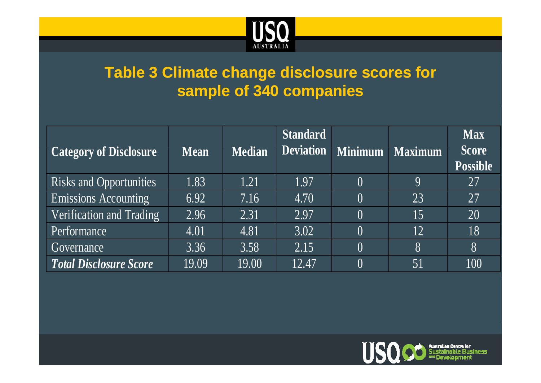

# **Table 3 Climate change disclosure scores for sample of 340 companies**

| <b>Category of Disclosure</b>  | <b>Mean</b> | <b>Median</b> | <b>Standard</b> | Deviation Minimum | <b>Maximum</b> | <b>Max</b><br><b>Score</b><br><b>Possible</b> |
|--------------------------------|-------------|---------------|-----------------|-------------------|----------------|-----------------------------------------------|
| <b>Risks and Opportunities</b> | 1.83        | 1.21          | 1.97            | $\left( \right)$  | $\mathbf Q$    | 27                                            |
| <b>Emissions Accounting</b>    | 6.92        | 7.16          | 4.70            | $\left( \right)$  | 23             | 27                                            |
| Verification and Trading       | 2.96        | 2.31          | 2.97            | $\left( \right)$  | 15             | 20                                            |
| Performance                    | 4.01        | 4.81          | 3.02            | $\left( \right)$  | 12             | 18                                            |
| Governance                     | 3.36        | 3.58          | 2.15            | $\theta$          | 8              | 8                                             |
| <b>Total Disclosure Score</b>  | 19.09       | 19.00         | 12.47           | $\left( \right)$  | 51             | 100                                           |

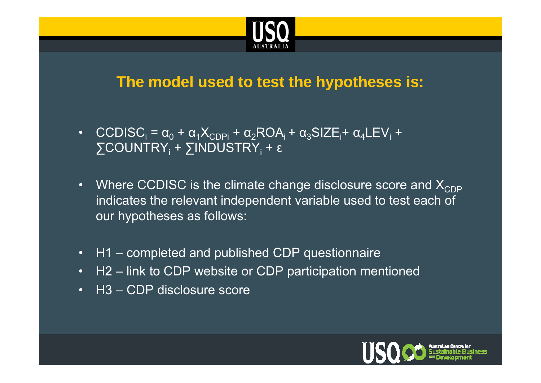

### **The model used to test the hypotheses is:**

- CCDISC<sub>i</sub> =  $\alpha_0$  +  $\alpha_1 X_{CDPI}$  +  $\alpha_2 ROA_i$  +  $\alpha_3 SIZE_i$ +  $\alpha_4 LEV_i$  +  $\sum$ COUNTRY $_{\rm i}$  +  $\sum$ INDUSTRY $_{\rm i}$  + ε
- Where CCDISC is the climate change disclosure score and  $\mathsf{X}_{\mathsf{CDP}}$ indicates the relevant independent variable used to test each of our hypotheses as follows:
- H1 completed and published CDP questionnaire
- H2 link to CDP website or CDP participation mentioned
- H3 CDP disclosure score

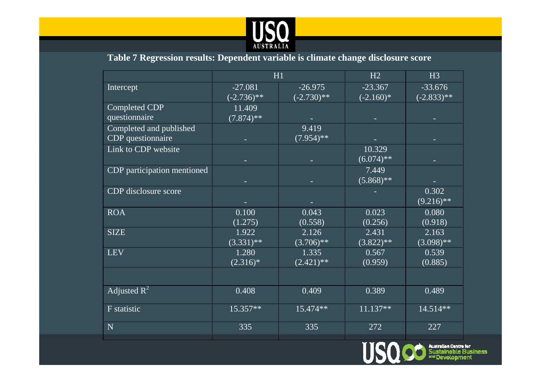

#### **Table 7 Regression results: Dependent variable is climate change disclosure score**

|                             |               | H1                 | H2           | H3           |
|-----------------------------|---------------|--------------------|--------------|--------------|
| Intercept                   | $-27.081$     | $-26.975$          | $-23.367$    | $-33.676$    |
|                             | $(-2.736)$ ** | $\sqrt{(-2.730)*}$ | $(-2.160)$ * | $(-2.833)**$ |
| <b>Completed CDP</b>        | 11.409        |                    |              |              |
| questionnaire               | $(7.874)*$    |                    |              |              |
| Completed and published     |               | 9.419              |              |              |
| CDP questionnaire           |               | $(7.954)$ **       |              |              |
| Link to CDP website         |               |                    | 10.329       |              |
|                             |               |                    | $(6.074)$ ** |              |
| CDP participation mentioned |               |                    | 7.449        |              |
|                             |               |                    | $(5.868)$ ** |              |
| CDP disclosure score        |               |                    |              | 0.302        |
|                             |               |                    |              | $(9.216)$ ** |
| <b>ROA</b>                  | 0.100         | 0.043              | 0.023        | 0.080        |
|                             | (1.275)       | (0.558)            | (0.256)      | (0.918)      |
| <b>SIZE</b>                 | 1.922         | 2.126              | 2.431        | 2.163        |
|                             | $(3.331)$ **  | $(3.706)$ **       | $(3.822)**$  | $(3.098)$ ** |
| <b>LEV</b>                  | 1.280         | 1.335              | 0.567        | 0.539        |
|                             | $(2.316)*$    | $(2.421)$ **       | (0.959)      | (0.885)      |
|                             |               |                    |              |              |
| Adjusted $R^2$              | 0.408         | 0.409              | 0.389        | 0.489        |
| F statistic                 | $15.357**$    | 15.474**           | $11.137**$   | 14.514**     |
| N                           | 335           | 335                | 272          | 227          |
|                             |               |                    |              |              |

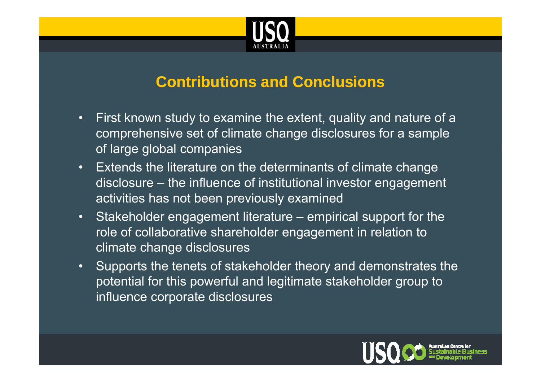

### **Contributions and Conclusions**

- $\bullet$  First known study to examine the extent, quality and nature of a comprehensive set of climate change disclosures for a sample of large global companies
- $\bullet$  Extends the literature on the determinants of climate change disclosure – the influence of institutional investor engagement activities has not been previously examined
- Stakeholder engagement literature empirical support for the role of collaborative shareholder engagement in relation to climate change disclosures
- • Supports the tenets of stakeholder theory and demonstrates the potential for this powerful and legitimate stakeholder group to influence corporate disclosures

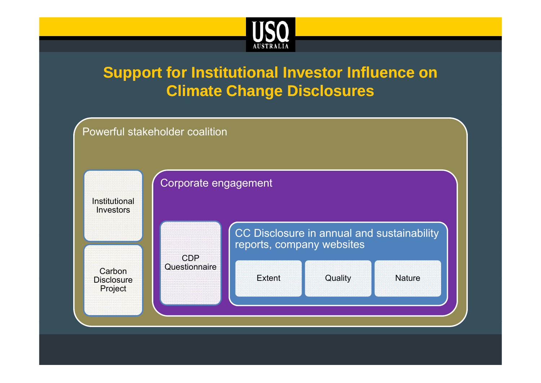

# **Support for Institutional Investor Influence on Climate Change Disclosures**